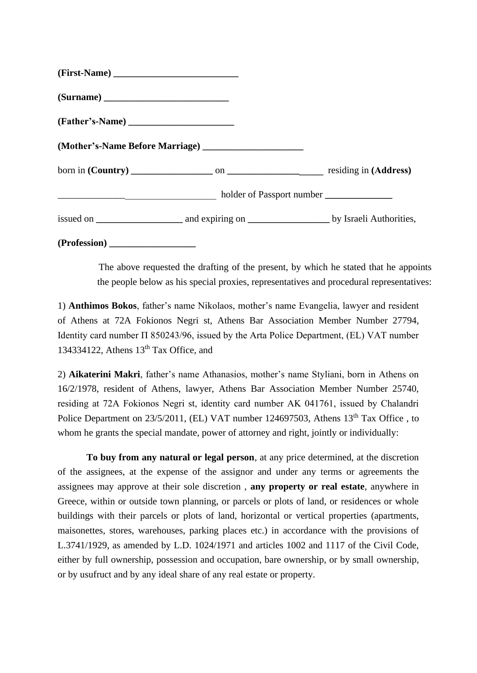| (Surname)    |  |
|--------------|--|
|              |  |
|              |  |
|              |  |
|              |  |
|              |  |
| (Profession) |  |

The above requested the drafting of the present, by which he stated that he appoints the people below as his special proxies, representatives and procedural representatives:

1) **Anthimos Bokos**, father's name Nikolaos, mother's name Evangelia, lawyer and resident of Athens at 72A Fokionos Negri st, Athens Bar Association Member Number 27794, Identity card number Π 850243/96, issued by the Arta Police Department, (EL) VAT number 134334122, Athens  $13<sup>th</sup>$  Tax Office, and

2) **Aikaterini Makri**, father's name Athanasios, mother's name Styliani, born in Athens on 16/2/1978, resident of Athens, lawyer, Athens Bar Association Member Number 25740, residing at 72A Fokionos Negri st, identity card number ΑΚ 041761, issued by Chalandri Police Department on 23/5/2011, (EL) VAT number 124697503, Athens 13<sup>th</sup> Tax Office, to whom he grants the special mandate, power of attorney and right, jointly or individually:

**To buy from any natural or legal person**, at any price determined, at the discretion of the assignees, at the expense of the assignor and under any terms or agreements the assignees may approve at their sole discretion , **any property or real estate**, anywhere in Greece, within or outside town planning, or parcels or plots of land, or residences or whole buildings with their parcels or plots of land, horizontal or vertical properties (apartments, maisonettes, stores, warehouses, parking places etc.) in accordance with the provisions of L.3741/1929, as amended by L.D. 1024/1971 and articles 1002 and 1117 of the Civil Code, either by full ownership, possession and occupation, bare ownership, or by small ownership, or by usufruct and by any ideal share of any real estate or property.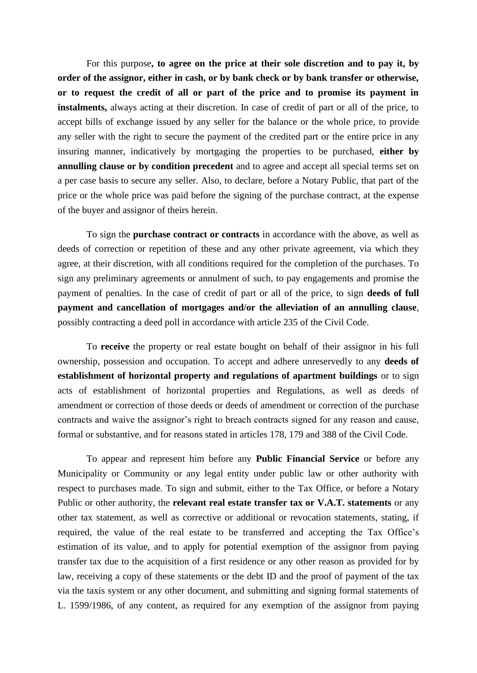For this purpose**, to agree on the price at their sole discretion and to pay it, by order of the assignor, either in cash, or by bank check or by bank transfer or otherwise, or to request the credit of all or part of the price and to promise its payment in instalments,** always acting at their discretion. In case of credit of part or all of the price, to accept bills of exchange issued by any seller for the balance or the whole price, to provide any seller with the right to secure the payment of the credited part or the entire price in any insuring manner, indicatively by mortgaging the properties to be purchased, **either by annulling clause or by condition precedent** and to agree and accept all special terms set on a per case basis to secure any seller. Also, to declare, before a Notary Public, that part of the price or the whole price was paid before the signing of the purchase contract, at the expense of the buyer and assignor of theirs herein.

To sign the **purchase contract or contracts** in accordance with the above, as well as deeds of correction or repetition of these and any other private agreement, via which they agree, at their discretion, with all conditions required for the completion of the purchases. To sign any preliminary agreements or annulment of such, to pay engagements and promise the payment of penalties. In the case of credit of part or all of the price, to sign **deeds of full payment and cancellation of mortgages and/or the alleviation of an annulling clause**, possibly contracting a deed poll in accordance with article 235 of the Civil Code.

To **receive** the property or real estate bought on behalf of their assignor in his full ownership, possession and occupation. To accept and adhere unreservedly to any **deeds of establishment of horizontal property and regulations of apartment buildings** or to sign acts of establishment of horizontal properties and Regulations, as well as deeds of amendment or correction of those deeds or deeds of amendment or correction of the purchase contracts and waive the assignor's right to breach contracts signed for any reason and cause, formal or substantive, and for reasons stated in articles 178, 179 and 388 of the Civil Code.

To appear and represent him before any **Public Financial Service** or before any Municipality or Community or any legal entity under public law or other authority with respect to purchases made. To sign and submit, either to the Tax Office, or before a Notary Public or other authority, the **relevant real estate transfer tax or V.A.T. statements** or any other tax statement, as well as corrective or additional or revocation statements, stating, if required, the value of the real estate to be transferred and accepting the Tax Office's estimation of its value, and to apply for potential exemption of the assignor from paying transfer tax due to the acquisition of a first residence or any other reason as provided for by law, receiving a copy of these statements or the debt ID and the proof of payment of the tax via the taxis system or any other document, and submitting and signing formal statements of L. 1599/1986, of any content, as required for any exemption of the assignor from paying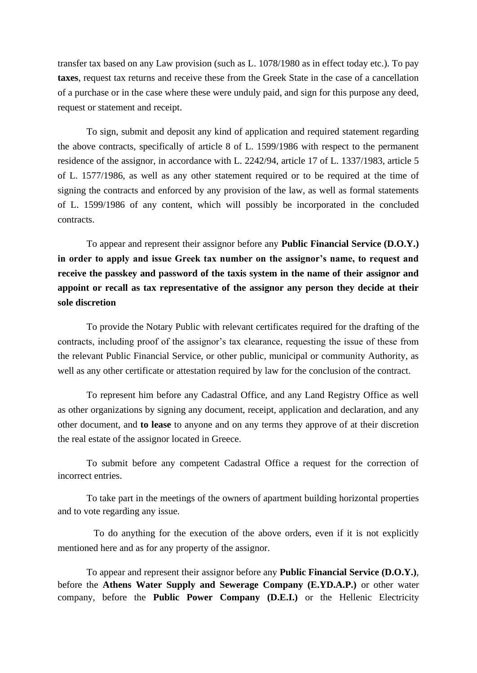transfer tax based on any Law provision (such as L. 1078/1980 as in effect today etc.). To pay **taxes**, request tax returns and receive these from the Greek State in the case of a cancellation of a purchase or in the case where these were unduly paid, and sign for this purpose any deed, request or statement and receipt.

To sign, submit and deposit any kind of application and required statement regarding the above contracts, specifically of article 8 of L. 1599/1986 with respect to the permanent residence of the assignor, in accordance with L. 2242/94, article 17 of L. 1337/1983, article 5 of L. 1577/1986, as well as any other statement required or to be required at the time of signing the contracts and enforced by any provision of the law, as well as formal statements of L. 1599/1986 of any content, which will possibly be incorporated in the concluded contracts.

To appear and represent their assignor before any **Public Financial Service (D.O.Y.) in order to apply and issue Greek tax number on the assignor's name, to request and**  receive the passkey and password of the taxis system in the name of their assignor and **appoint or recall as tax representative of the assignor any person they decide at their sole discretion**

To provide the Notary Public with relevant certificates required for the drafting of the contracts, including proof of the assignor's tax clearance, requesting the issue of these from the relevant Public Financial Service, or other public, municipal or community Authority, as well as any other certificate or attestation required by law for the conclusion of the contract.

To represent him before any Cadastral Office, and any Land Registry Office as well as other organizations by signing any document, receipt, application and declaration, and any other document, and **to lease** to anyone and on any terms they approve of at their discretion the real estate of the assignor located in Greece.

 To submit before any competent Cadastral Office a request for the correction of incorrect entries.

 To take part in the meetings of the owners of apartment building horizontal properties and to vote regarding any issue.

 To do anything for the execution of the above orders, even if it is not explicitly mentioned here and as for any property of the assignor.

To appear and represent their assignor before any **Public Financial Service (D.O.Y.)**, before the **Athens Water Supply and Sewerage Company (E.YD.A.P.)** or other water company, before the **Public Power Company (D.E.I.)** or the Hellenic Electricity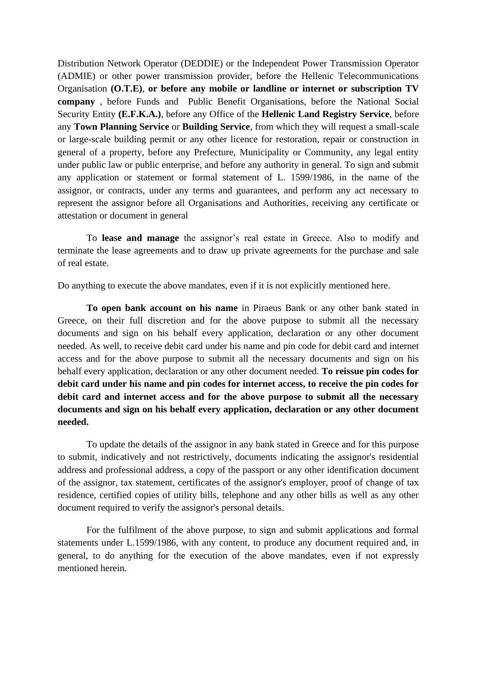Distribution Network Operator (DEDDIE) or the Independent Power Transmission Operator (ADMIE) or other power transmission provider, before the Hellenic Telecommunications Organisation **(O.T.E)**, **or before any mobile or landline or internet or subscription TV company** , before Funds and Public Benefit Organisations, before the National Social Security Entity **(E.F.K.A.)**, before any Office of the **Hellenic Land Registry Service**, before any **Town Planning Service** or **Building Service**, from which they will request a small-scale or large-scale building permit or any other licence for restoration, repair or construction in general of a property, before any Prefecture, Municipality or Community, any legal entity under public law or public enterprise, and before any authority in general. To sign and submit any application or statement or formal statement of L. 1599/1986, in the name of the assignor, or contracts, under any terms and guarantees, and perform any act necessary to represent the assignor before all Organisations and Authorities, receiving any certificate or attestation or document in general

 To **lease and manage** the assignor's real estate in Greece. Also to modify and terminate the lease agreements and to draw up private agreements for the purchase and sale of real estate.

Do anything to execute the above mandates, even if it is not explicitly mentioned here.

**To open bank account on his name** in Piraeus Bank or any other bank stated in Greece, on their full discretion and for the above purpose to submit all the necessary documents and sign on his behalf every application, declaration or any other document needed. As well, to receive debit card under his name and pin code for debit card and internet access and for the above purpose to submit all the necessary documents and sign on his behalf every application, declaration or any other document needed. **To reissue pin codes for debit card under his name and pin codes for internet access, to receive the pin codes for debit card and internet access and for the above purpose to submit all the necessary documents and sign on his behalf every application, declaration or any other document needed.**

To update the details of the assignor in any bank stated in Greece and for this purpose to submit, indicatively and not restrictively, documents indicating the assignor's residential address and professional address, a copy of the passport or any other identification document of the assignor, tax statement, certificates of the assignor's employer, proof of change of tax residence, certified copies of utility bills, telephone and any other bills as well as any other document required to verify the assignor's personal details.

For the fulfilment of the above purpose, to sign and submit applications and formal statements under L.1599/1986, with any content, to produce any document required and, in general, to do anything for the execution of the above mandates, even if not expressly mentioned herein.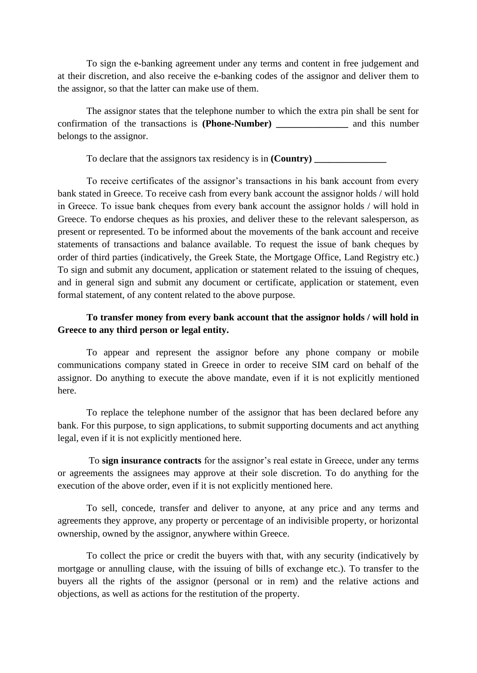To sign the e-banking agreement under any terms and content in free judgement and at their discretion, and also receive the e-banking codes of the assignor and deliver them to the assignor, so that the latter can make use of them.

The assignor states that the telephone number to which the extra pin shall be sent for confirmation of the transactions is **(Phone-Number) \_\_\_\_\_\_\_\_\_\_\_\_\_\_\_** and this number belongs to the assignor.

To declare that the assignors tax residency is in **(Country) \_\_\_\_\_\_\_\_\_\_\_\_\_\_\_**

To receive certificates of the assignor's transactions in his bank account from every bank stated in Greece. To receive cash from every bank account the assignor holds / will hold in Greece. Το issue bank cheques from every bank account the assignor holds / will hold in Greece. To endorse cheques as his proxies, and deliver these to the relevant salesperson, as present or represented. To be informed about the movements of the bank account and receive statements of transactions and balance available. To request the issue of bank cheques by order of third parties (indicatively, the Greek State, the Mortgage Office, Land Registry etc.) To sign and submit any document, application or statement related to the issuing of cheques, and in general sign and submit any document or certificate, application or statement, even formal statement, of any content related to the above purpose.

## **To transfer money from every bank account that the assignor holds / will hold in Greece to any third person or legal entity.**

To appear and represent the assignor before any phone company or mobile communications company stated in Greece in order to receive SIM card on behalf of the assignor. Do anything to execute the above mandate, even if it is not explicitly mentioned here.

To replace the telephone number of the assignor that has been declared before any bank. For this purpose, to sign applications, to submit supporting documents and act anything legal, even if it is not explicitly mentioned here.

To **sign insurance contracts** for the assignor's real estate in Greece, under any terms or agreements the assignees may approve at their sole discretion. To do anything for the execution of the above order, even if it is not explicitly mentioned here.

To sell, concede, transfer and deliver to anyone, at any price and any terms and agreements they approve, any property or percentage of an indivisible property, or horizontal ownership, owned by the assignor, anywhere within Greece.

To collect the price or credit the buyers with that, with any security (indicatively by mortgage or annulling clause, with the issuing of bills of exchange etc.). To transfer to the buyers all the rights of the assignor (personal or in rem) and the relative actions and objections, as well as actions for the restitution of the property.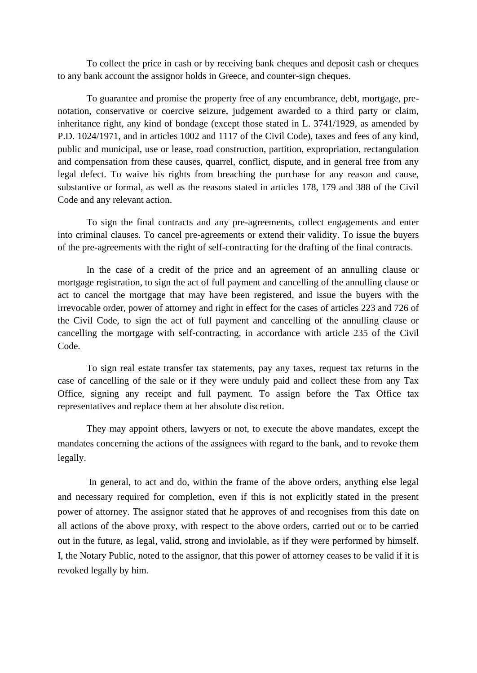To collect the price in cash or by receiving bank cheques and deposit cash or cheques to any bank account the assignor holds in Greece, and counter-sign cheques.

To guarantee and promise the property free of any encumbrance, debt, mortgage, prenotation, conservative or coercive seizure, judgement awarded to a third party or claim, inheritance right, any kind of bondage (except those stated in L. 3741/1929, as amended by P.D. 1024/1971, and in articles 1002 and 1117 of the Civil Code), taxes and fees of any kind, public and municipal, use or lease, road construction, partition, expropriation, rectangulation and compensation from these causes, quarrel, conflict, dispute, and in general free from any legal defect. To waive his rights from breaching the purchase for any reason and cause, substantive or formal, as well as the reasons stated in articles 178, 179 and 388 of the Civil Code and any relevant action.

To sign the final contracts and any pre-agreements, collect engagements and enter into criminal clauses. To cancel pre-agreements or extend their validity. To issue the buyers of the pre-agreements with the right of self-contracting for the drafting of the final contracts.

In the case of a credit of the price and an agreement of an annulling clause or mortgage registration, to sign the act of full payment and cancelling of the annulling clause or act to cancel the mortgage that may have been registered, and issue the buyers with the irrevocable order, power of attorney and right in effect for the cases of articles 223 and 726 of the Civil Code, to sign the act of full payment and cancelling of the annulling clause or cancelling the mortgage with self-contracting, in accordance with article 235 of the Civil Code.

To sign real estate transfer tax statements, pay any taxes, request tax returns in the case of cancelling of the sale or if they were unduly paid and collect these from any Tax Office, signing any receipt and full payment. To assign before the Tax Office tax representatives and replace them at her absolute discretion.

They may appoint others, lawyers or not, to execute the above mandates, except the mandates concerning the actions of the assignees with regard to the bank, and to revoke them legally.

In general, to act and do, within the frame of the above orders, anything else legal and necessary required for completion, even if this is not explicitly stated in the present power of attorney. The assignor stated that he approves of and recognises from this date on all actions of the above proxy, with respect to the above orders, carried out or to be carried out in the future, as legal, valid, strong and inviolable, as if they were performed by himself. I, the Notary Public, noted to the assignor, that this power of attorney ceases to be valid if it is revoked legally by him.